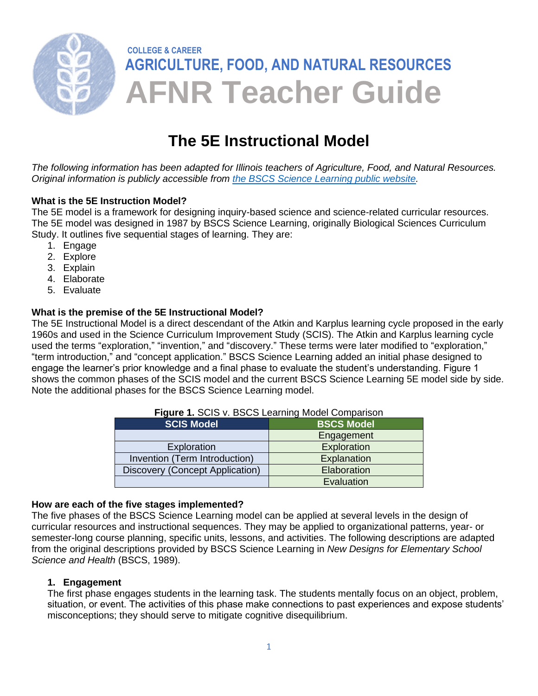

# **The 5E Instructional Model**

*The following information has been adapted for Illinois teachers of Agriculture, Food, and Natural Resources. Original information is publicly accessible from [the BSCS Science Learning public website.](https://bscs.org/about/our-story/)*

#### **What is the 5E Instruction Model?**

The 5E model is a framework for designing inquiry-based science and science-related curricular resources. The 5E model was designed in 1987 by BSCS Science Learning, originally Biological Sciences Curriculum Study. It outlines five sequential stages of learning. They are:

- 1. Engage
- 2. Explore
- 3. Explain
- 4. Elaborate
- 5. Evaluate

## **What is the premise of the 5E Instructional Model?**

The 5E Instructional Model is a direct descendant of the Atkin and Karplus learning cycle proposed in the early 1960s and used in the Science Curriculum Improvement Study (SCIS). The Atkin and Karplus learning cycle used the terms "exploration," "invention," and "discovery." These terms were later modified to "exploration," "term introduction," and "concept application." BSCS Science Learning added an initial phase designed to engage the learner's prior knowledge and a final phase to evaluate the student's understanding. Figure 1 shows the common phases of the SCIS model and the current BSCS Science Learning 5E model side by side. Note the additional phases for the BSCS Science Learning model.

| <b>T MATC 1.</b> OOID Y. DOOO LOGHIING MOGOL OOIHDGHOOH |                   |
|---------------------------------------------------------|-------------------|
| <b>SCIS Model</b>                                       | <b>BSCS Model</b> |
|                                                         | Engagement        |
| Exploration                                             | Exploration       |
| Invention (Term Introduction)                           | Explanation       |
| Discovery (Concept Application)                         | Elaboration       |
|                                                         | Evaluation        |

# **Figure 1.** SCIS v. BSCS Learning Model Comparison

#### **How are each of the five stages implemented?**

The five phases of the BSCS Science Learning model can be applied at several levels in the design of curricular resources and instructional sequences. They may be applied to organizational patterns, year- or semester-long course planning, specific units, lessons, and activities. The following descriptions are adapted from the original descriptions provided by BSCS Science Learning in *New Designs for Elementary School Science and Health* (BSCS, 1989).

#### **1. Engagement**

The first phase engages students in the learning task. The students mentally focus on an object, problem, situation, or event. The activities of this phase make connections to past experiences and expose students' misconceptions; they should serve to mitigate cognitive disequilibrium.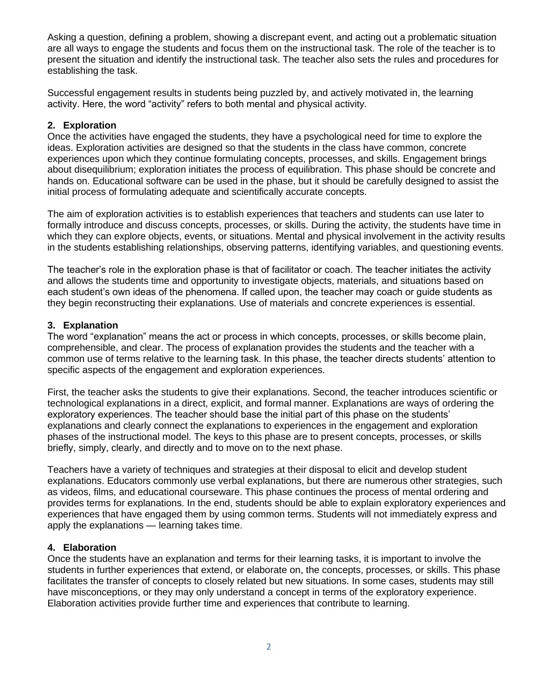Asking a question, defining a problem, showing a discrepant event, and acting out a problematic situation are all ways to engage the students and focus them on the instructional task. The role of the teacher is to present the situation and identify the instructional task. The teacher also sets the rules and procedures for establishing the task.

Successful engagement results in students being puzzled by, and actively motivated in, the learning activity. Here, the word "activity" refers to both mental and physical activity.

#### **2. Exploration**

Once the activities have engaged the students, they have a psychological need for time to explore the ideas. Exploration activities are designed so that the students in the class have common, concrete experiences upon which they continue formulating concepts, processes, and skills. Engagement brings about disequilibrium; exploration initiates the process of equilibration. This phase should be concrete and hands on. Educational software can be used in the phase, but it should be carefully designed to assist the initial process of formulating adequate and scientifically accurate concepts.

The aim of exploration activities is to establish experiences that teachers and students can use later to formally introduce and discuss concepts, processes, or skills. During the activity, the students have time in which they can explore objects, events, or situations. Mental and physical involvement in the activity results in the students establishing relationships, observing patterns, identifying variables, and questioning events.

The teacher's role in the exploration phase is that of facilitator or coach. The teacher initiates the activity and allows the students time and opportunity to investigate objects, materials, and situations based on each student's own ideas of the phenomena. If called upon, the teacher may coach or guide students as they begin reconstructing their explanations. Use of materials and concrete experiences is essential.

## **3. Explanation**

The word "explanation" means the act or process in which concepts, processes, or skills become plain, comprehensible, and clear. The process of explanation provides the students and the teacher with a common use of terms relative to the learning task. In this phase, the teacher directs students' attention to specific aspects of the engagement and exploration experiences.

First, the teacher asks the students to give their explanations. Second, the teacher introduces scientific or technological explanations in a direct, explicit, and formal manner. Explanations are ways of ordering the exploratory experiences. The teacher should base the initial part of this phase on the students' explanations and clearly connect the explanations to experiences in the engagement and exploration phases of the instructional model. The keys to this phase are to present concepts, processes, or skills briefly, simply, clearly, and directly and to move on to the next phase.

Teachers have a variety of techniques and strategies at their disposal to elicit and develop student explanations. Educators commonly use verbal explanations, but there are numerous other strategies, such as videos, films, and educational courseware. This phase continues the process of mental ordering and provides terms for explanations. In the end, students should be able to explain exploratory experiences and experiences that have engaged them by using common terms. Students will not immediately express and apply the explanations — learning takes time.

#### **4. Elaboration**

Once the students have an explanation and terms for their learning tasks, it is important to involve the students in further experiences that extend, or elaborate on, the concepts, processes, or skills. This phase facilitates the transfer of concepts to closely related but new situations. In some cases, students may still have misconceptions, or they may only understand a concept in terms of the exploratory experience. Elaboration activities provide further time and experiences that contribute to learning.